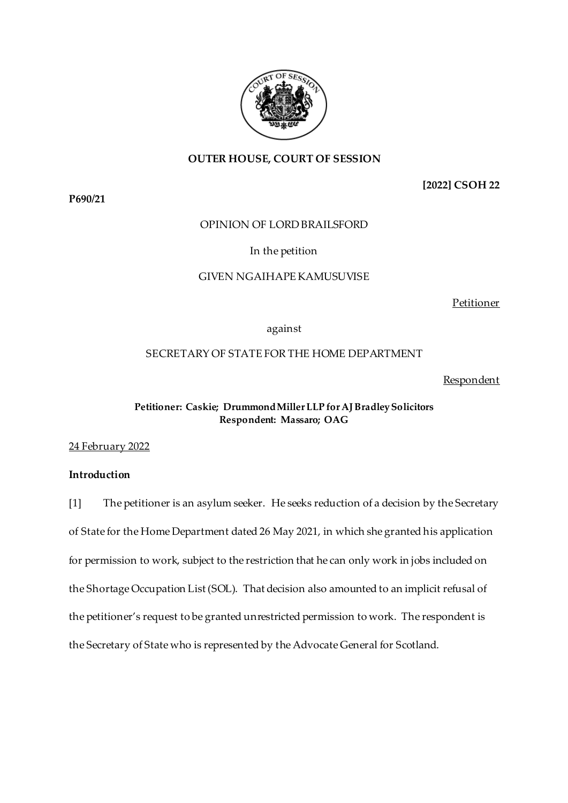

## **OUTER HOUSE, COURT OF SESSION**

**P690/21**

**[2022] CSOH 22**

## OPINION OF LORD BRAILSFORD

### In the petition

# GIVEN NGAIHAPE KAMUSUVISE

Petitioner

## against

## SECRETARY OF STATE FOR THE HOME DEPARTMENT

#### Respondent

### **Petitioner: Caskie; DrummondMiller LLP for AJ Bradley Solicitors Respondent: Massaro; OAG**

24 February 2022

### **Introduction**

[1] The petitioner is an asylum seeker. He seeks reduction of a decision by the Secretary of State for the Home Department dated 26 May 2021, in which she granted his application for permission to work, subject to the restriction that he can only work in jobs included on the Shortage Occupation List (SOL). That decision also amounted to an implicit refusal of the petitioner's request to be granted unrestricted permission to work. The respondent is the Secretary of State who is represented by the Advocate General for Scotland.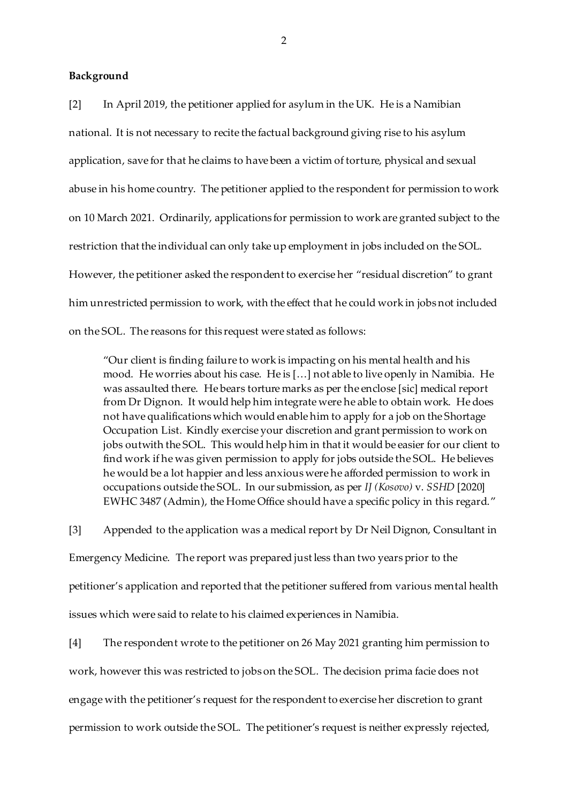### **Background**

[2] In April 2019, the petitioner applied for asylum in the UK. He is a Namibian national. It is not necessary to recite the factual background giving rise to his asylum application, save for that he claims to have been a victim of torture, physical and sexual abuse in his home country. The petitioner applied to the respondent for permission to work on 10 March 2021. Ordinarily, applications for permission to work are granted subject to the restriction that the individual can only take up employment in jobs included on the SOL. However, the petitioner asked the respondent to exercise her "residual discretion" to grant him unrestricted permission to work, with the effect that he could work in jobs not included on the SOL. The reasons for this request were stated as follows:

"Our client is finding failure to work is impacting on his mental health and his mood. He worries about his case. He is […] not able to live openly in Namibia. He was assaulted there. He bears torture marks as per the enclose [sic] medical report from Dr Dignon. It would help him integrate were he able to obtain work. He does not have qualifications which would enable him to apply for a job on the Shortage Occupation List. Kindly exercise your discretion and grant permission to work on jobs outwith the SOL. This would help him in that it would be easier for our client to find work if he was given permission to apply for jobs outside the SOL. He believes he would be a lot happier and less anxious were he afforded permission to work in occupations outside the SOL. In our submission, as per *IJ (Kosovo)* v. *SSHD* [2020] EWHC 3487 (Admin), the Home Office should have a specific policy in this regard."

[3] Appended to the application was a medical report by Dr Neil Dignon, Consultant in Emergency Medicine. The report was prepared just less than two years prior to the petitioner's application and reported that the petitioner suffered from various mental health issues which were said to relate to his claimed experiences in Namibia.

[4] The respondent wrote to the petitioner on 26 May 2021 granting him permission to work, however this was restricted to jobs on the SOL. The decision prima facie does not engage with the petitioner's request for the respondent to exercise her discretion to grant permission to work outside the SOL. The petitioner's request is neither expressly rejected,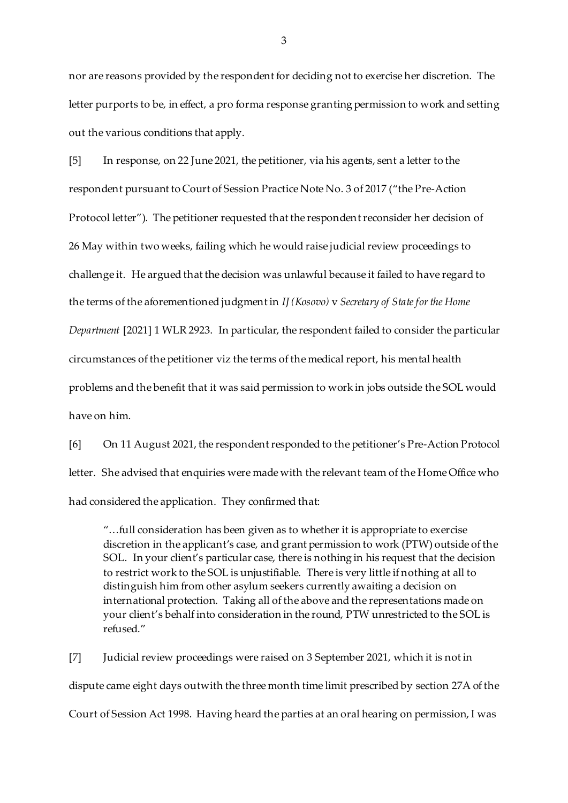nor are reasons provided by the respondent for deciding not to exercise her discretion. The letter purports to be, in effect, a pro forma response granting permission to work and setting out the various conditions that apply.

[5] In response, on 22 June 2021, the petitioner, via his agents, sent a letter to the respondent pursuant to Court of Session Practice Note No. 3 of 2017 ("the Pre-Action Protocol letter"). The petitioner requested that the respondent reconsider her decision of 26 May within two weeks, failing which he would raise judicial review proceedings to challenge it. He argued that the decision was unlawful because it failed to have regard to the terms of the aforementioned judgment in *IJ (Kosovo)* v *Secretary of State for the Home Department* [2021] 1 WLR 2923. In particular, the respondent failed to consider the particular circumstances of the petitioner viz the terms of the medical report, his mental health problems and the benefit that it was said permission to work in jobs outside the SOL would have on him.

[6] On 11 August 2021, the respondent responded to the petitioner's Pre-Action Protocol letter. She advised that enquiries were made with the relevant team of the Home Office who had considered the application. They confirmed that:

"…full consideration has been given as to whether it is appropriate to exercise discretion in the applicant's case, and grant permission to work (PTW) outside of the SOL. In your client's particular case, there is nothing in his request that the decision to restrict work to the SOL is unjustifiable. There is very little if nothing at all to distinguish him from other asylum seekers currently awaiting a decision on international protection. Taking all of the above and the representations made on your client's behalf into consideration in the round, PTW unrestricted to the SOL is refused."

[7] Judicial review proceedings were raised on 3 September 2021, which it is not in dispute came eight days outwith the three month time limit prescribed by section 27A of the Court of Session Act 1998. Having heard the parties at an oral hearing on permission, I was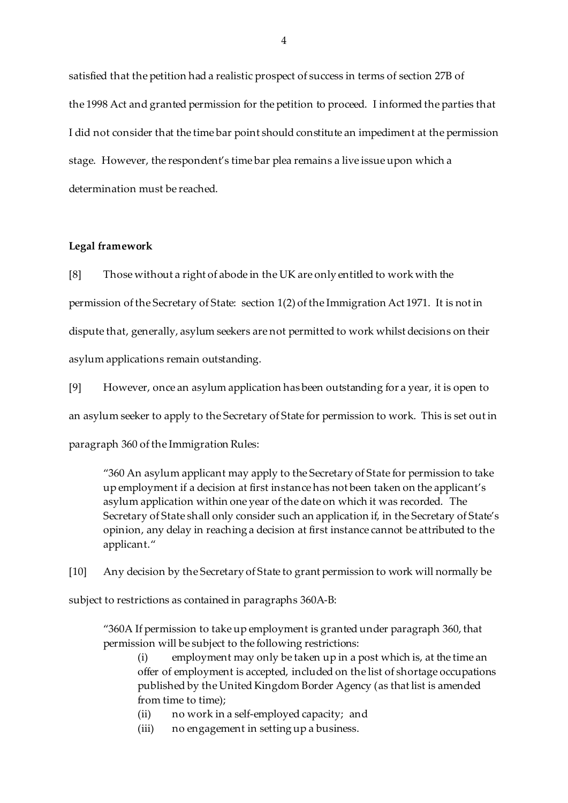satisfied that the petition had a realistic prospect of success in terms of section 27B of the 1998 Act and granted permission for the petition to proceed. I informed the parties that I did not consider that the time bar point should constitute an impediment at the permission stage. However, the respondent's time bar plea remains a live issue upon which a determination must be reached.

### **Legal framework**

[8] Those without a right of abode in the UK are only entitled to work with the permission of the Secretary of State: section 1(2) of the Immigration Act 1971. It is not in dispute that, generally, asylum seekers are not permitted to work whilst decisions on their asylum applications remain outstanding.

[9] However, once an asylum application has been outstanding for a year, it is open to an asylum seeker to apply to the Secretary of State for permission to work. This is set out in paragraph 360 of the Immigration Rules:

"360 An asylum applicant may apply to the Secretary of State for permission to take up employment if a decision at first instance has not been taken on the applicant's asylum application within one year of the date on which it was recorded. The Secretary of State shall only consider such an application if, in the Secretary of State's opinion, any delay in reaching a decision at first instance cannot be attributed to the applicant."

[10] Any decision by the Secretary of State to grant permission to work will normally be subject to restrictions as contained in paragraphs 360A-B:

"360A If permission to take up employment is granted under paragraph 360, that permission will be subject to the following restrictions:

(i) employment may only be taken up in a post which is, at the time an offer of employment is accepted, included on the list of shortage occupations published by the United Kingdom Border Agency (as that list is amended from time to time);

(ii) no work in a self-employed capacity; and

(iii) no engagement in setting up a business.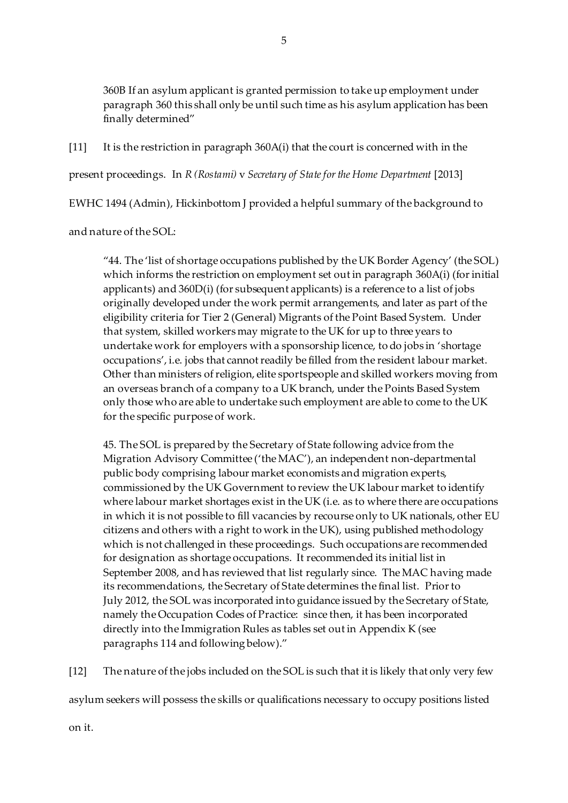360B If an asylum applicant is granted permission to take up employment under paragraph 360 this shall only be until such time as his asylum application has been finally determined"

[11] It is the restriction in paragraph 360A(i) that the court is concerned with in the

present proceedings. In *R (Rostami)* v *Secretary of State for the Home Department* [2013]

EWHC 1494 (Admin), Hickinbottom J provided a helpful summary of the background to

and nature of the SOL:

"44. The 'list of shortage occupations published by the UK Border Agency' (the SOL) which informs the restriction on employment set out in paragraph 360A(i) (for initial applicants) and 360D(i) (for subsequent applicants) is a reference to a list of jobs originally developed under the work permit arrangements, and later as part of the eligibility criteria for Tier 2 (General) Migrants of the Point Based System. Under that system, skilled workers may migrate to the UK for up to three years to undertake work for employers with a sponsorship licence, to do jobs in 'shortage occupations', i.e. jobs that cannot readily be filled from the resident labour market. Other than ministers of religion, elite sportspeople and skilled workers moving from an overseas branch of a company to a UK branch, under the Points Based System only those who are able to undertake such employment are able to come to the UK for the specific purpose of work.

45. The SOL is prepared by the Secretary of State following advice from the Migration Advisory Committee ('the MAC'), an independent non-departmental public body comprising labour market economists and migration experts, commissioned by the UK Government to review the UK labour market to identify where labour market shortages exist in the UK (i.e. as to where there are occupations in which it is not possible to fill vacancies by recourse only to UK nationals, other EU citizens and others with a right to work in the UK), using published methodology which is not challenged in these proceedings. Such occupations are recommended for designation as shortage occupations. It recommended its initial list in September 2008, and has reviewed that list regularly since. The MAC having made its recommendations, the Secretary of State determines the final list. Prior to July 2012, the SOL was incorporated into guidance issued by the Secretary of State, namely the Occupation Codes of Practice: since then, it has been incorporated directly into the Immigration Rules as tables set out in Appendix K (see paragraphs 114 and following below)."

[12] The nature of the jobs included on the SOL is such that it is likely that only very few

asylum seekers will possess the skills or qualifications necessary to occupy positions listed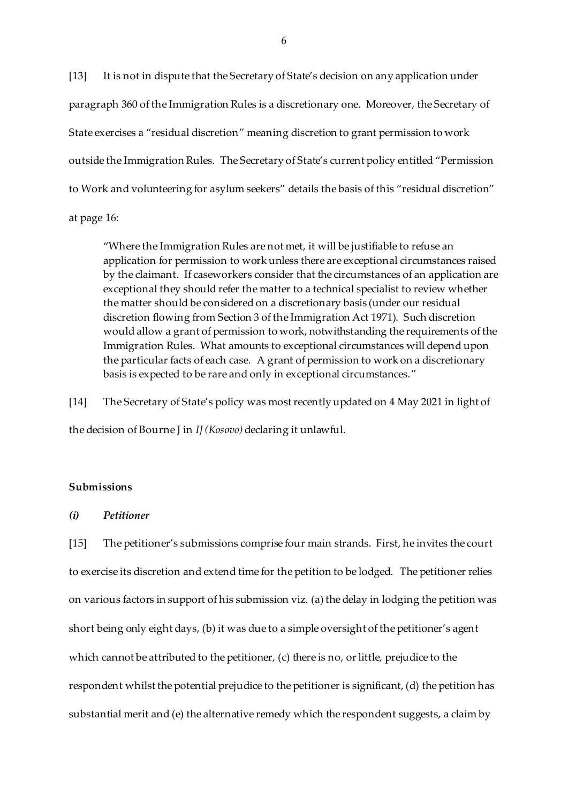[13] It is not in dispute that the Secretary of State's decision on any application under paragraph 360 of the Immigration Rules is a discretionary one. Moreover, the Secretary of State exercises a "residual discretion" meaning discretion to grant permission to work outside the Immigration Rules. The Secretary of State's current policy entitled "Permission to Work and volunteering for asylum seekers" details the basis of this "residual discretion"

at page 16:

"Where the Immigration Rules are not met, it will be justifiable to refuse an application for permission to work unless there are exceptional circumstances raised by the claimant. If caseworkers consider that the circumstances of an application are exceptional they should refer the matter to a technical specialist to review whether the matter should be considered on a discretionary basis (under our residual discretion flowing from Section 3 of the Immigration Act 1971). Such discretion would allow a grant of permission to work, notwithstanding the requirements of the Immigration Rules. What amounts to exceptional circumstances will depend upon the particular facts of each case. A grant of permission to work on a discretionary basis is expected to be rare and only in exceptional circumstances."

[14] The Secretary of State's policy was most recently updated on 4 May 2021 in light of the decision of Bourne J in *IJ (Kosovo)* declaring it unlawful.

### **Submissions**

### *(i) Petitioner*

[15] The petitioner's submissions comprise four main strands. First, he invites the court to exercise its discretion and extend time for the petition to be lodged. The petitioner relies on various factors in support of his submission viz*.* (a) the delay in lodging the petition was short being only eight days, (b) it was due to a simple oversight of the petitioner's agent which cannot be attributed to the petitioner, (c) there is no, or little, prejudice to the respondent whilst the potential prejudice to the petitioner is significant, (d) the petition has substantial merit and (e) the alternative remedy which the respondent suggests, a claim by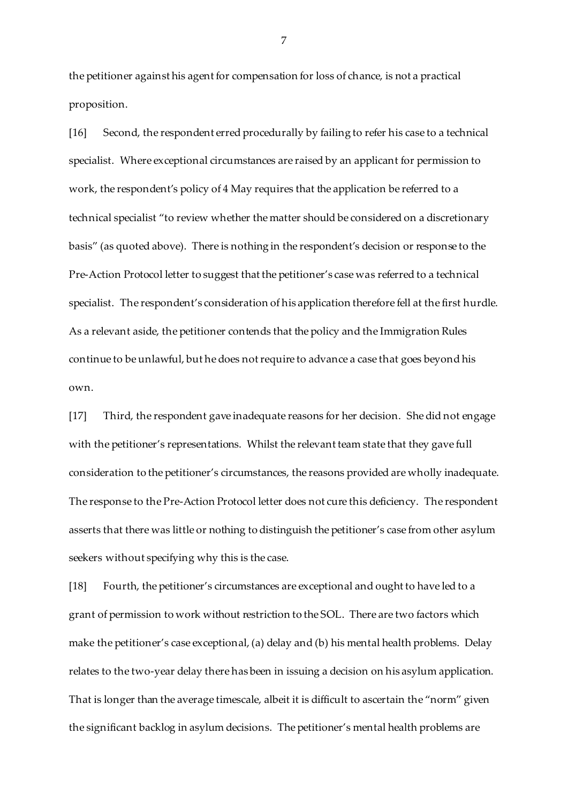the petitioner against his agent for compensation for loss of chance, is not a practical proposition.

[16] Second, the respondent erred procedurally by failing to refer his case to a technical specialist. Where exceptional circumstances are raised by an applicant for permission to work, the respondent's policy of 4 May requires that the application be referred to a technical specialist "to review whether the matter should be considered on a discretionary basis" (as quoted above). There is nothing in the respondent's decision or response to the Pre-Action Protocol letter to suggest that the petitioner's case was referred to a technical specialist. The respondent's consideration of his application therefore fell at the first hurdle. As a relevant aside, the petitioner contends that the policy and the Immigration Rules continue to be unlawful, but he does not require to advance a case that goes beyond his own.

[17] Third, the respondent gave inadequate reasons for her decision. She did not engage with the petitioner's representations. Whilst the relevant team state that they gave full consideration to the petitioner's circumstances, the reasons provided are wholly inadequate. The response to the Pre-Action Protocol letter does not cure this deficiency. The respondent asserts that there was little or nothing to distinguish the petitioner's case from other asylum seekers without specifying why this is the case.

[18] Fourth, the petitioner's circumstances are exceptional and ought to have led to a grant of permission to work without restriction to the SOL. There are two factors which make the petitioner's case exceptional, (a) delay and (b) his mental health problems. Delay relates to the two-year delay there has been in issuing a decision on his asylum application. That is longer than the average timescale, albeit it is difficult to ascertain the "norm" given the significant backlog in asylum decisions. The petitioner's mental health problems are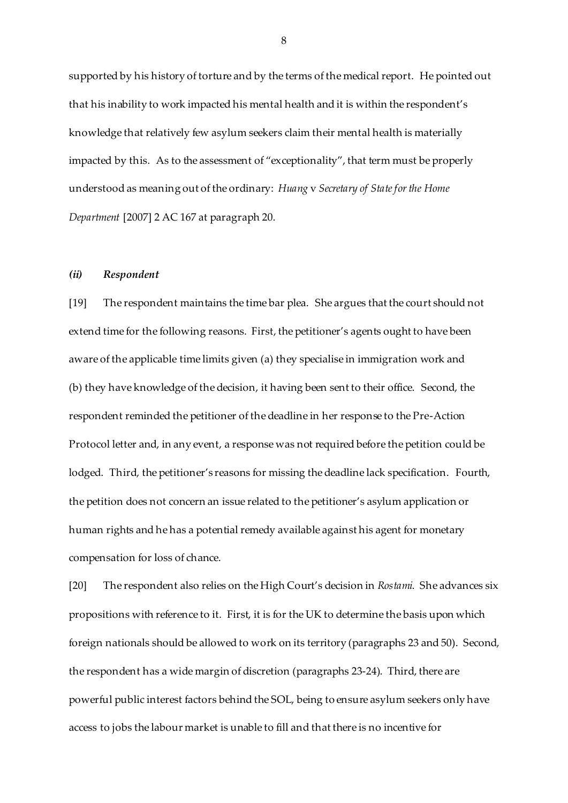supported by his history of torture and by the terms of the medical report. He pointed out that his inability to work impacted his mental health and it is within the respondent's knowledge that relatively few asylum seekers claim their mental health is materially impacted by this. As to the assessment of "exceptionality", that term must be properly understood as meaning out of the ordinary: *Huang* v *Secretary of State for the Home Department* [2007] 2 AC 167 at paragraph 20.

#### *(ii) Respondent*

[19] The respondent maintains the time bar plea. She argues that the court should not extend time for the following reasons. First, the petitioner's agents ought to have been aware of the applicable time limits given (a) they specialise in immigration work and (b) they have knowledge of the decision, it having been sent to their office. Second, the respondent reminded the petitioner of the deadline in her response to the Pre-Action Protocol letter and, in any event, a response was not required before the petition could be lodged. Third, the petitioner's reasons for missing the deadline lack specification. Fourth, the petition does not concern an issue related to the petitioner's asylum application or human rights and he has a potential remedy available against his agent for monetary compensation for loss of chance.

[20] The respondent also relies on the High Court's decision in *Rostami*. She advances six propositions with reference to it. First, it is for the UK to determine the basis upon which foreign nationals should be allowed to work on its territory (paragraphs 23 and 50). Second, the respondent has a wide margin of discretion (paragraphs 23-24). Third, there are powerful public interest factors behind the SOL, being to ensure asylum seekers only have access to jobs the labour market is unable to fill and that there is no incentive for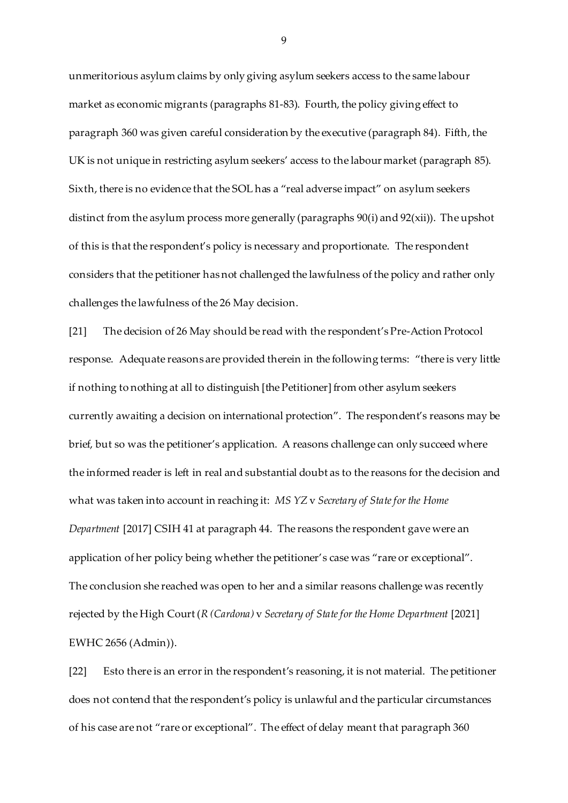unmeritorious asylum claims by only giving asylum seekers access to the same labour market as economic migrants (paragraphs 81-83). Fourth, the policy giving effect to paragraph 360 was given careful consideration by the executive (paragraph 84). Fifth, the UK is not unique in restricting asylum seekers' access to the labour market (paragraph 85). Sixth, there is no evidence that the SOL has a "real adverse impact" on asylum seekers distinct from the asylum process more generally (paragraphs 90(i) and 92(xii)). The upshot of this is that the respondent's policy is necessary and proportionate. The respondent considers that the petitioner has not challenged the lawfulness of the policy and rather only challenges the lawfulness of the 26 May decision.

[21] The decision of 26 May should be read with the respondent's Pre-Action Protocol response. Adequate reasons are provided therein in the following terms: "there is very little if nothing to nothing at all to distinguish [the Petitioner] from other asylum seekers currently awaiting a decision on international protection". The respondent's reasons may be brief, but so was the petitioner's application. A reasons challenge can only succeed where the informed reader is left in real and substantial doubt as to the reasons for the decision and what was taken into account in reaching it: *MS YZ* v *Secretary of State for the Home Department* [2017] CSIH 41 at paragraph 44. The reasons the respondent gave were an application of her policy being whether the petitioner's case was "rare or exceptional". The conclusion she reached was open to her and a similar reasons challenge was recently rejected by the High Court (*R (Cardona)* v *Secretary of State for the Home Department* [2021] EWHC 2656 (Admin)).

[22] Esto there is an error in the respondent's reasoning, it is not material. The petitioner does not contend that the respondent's policy is unlawful and the particular circumstances of his case are not "rare or exceptional". The effect of delay meant that paragraph 360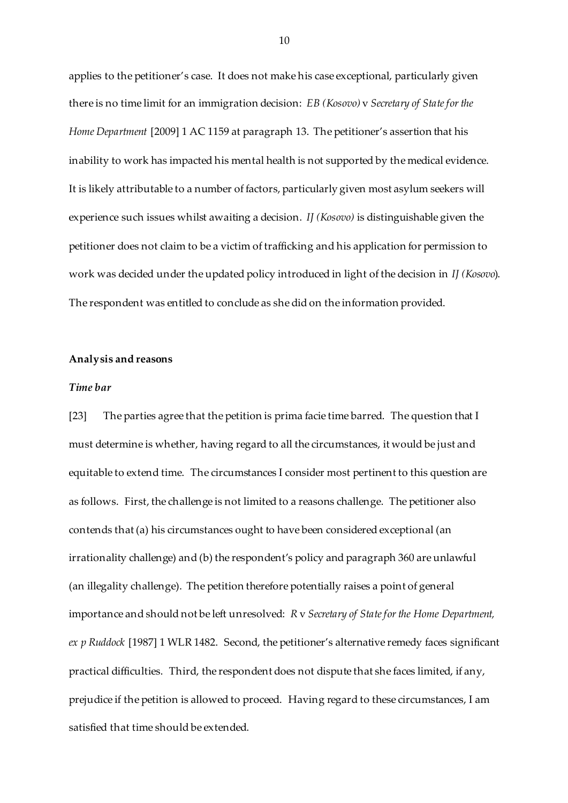applies to the petitioner's case. It does not make his case exceptional, particularly given there is no time limit for an immigration decision: *EB (Kosovo)* v *Secretary of State for the Home Department* [2009] 1 AC 1159 at paragraph 13. The petitioner's assertion that his inability to work has impacted his mental health is not supported by the medical evidence. It is likely attributable to a number of factors, particularly given most asylum seekers will experience such issues whilst awaiting a decision. *IJ (Kosovo)* is distinguishable given the petitioner does not claim to be a victim of trafficking and his application for permission to work was decided under the updated policy introduced in light of the decision in *IJ (Kosovo*). The respondent was entitled to conclude as she did on the information provided.

### **Analysis and reasons**

#### *Time bar*

[23] The parties agree that the petition is prima facie time barred. The question that I must determine is whether, having regard to all the circumstances, it would be just and equitable to extend time. The circumstances I consider most pertinent to this question are as follows. First, the challenge is not limited to a reasons challenge. The petitioner also contends that (a) his circumstances ought to have been considered exceptional (an irrationality challenge) and (b) the respondent's policy and paragraph 360 are unlawful (an illegality challenge). The petition therefore potentially raises a point of general importance and should not be left unresolved: *R* v *Secretary of State for the Home Department, ex p Ruddock* [1987] 1 WLR 1482. Second, the petitioner's alternative remedy faces significant practical difficulties. Third, the respondent does not dispute that she faces limited, if any, prejudice if the petition is allowed to proceed. Having regard to these circumstances, I am satisfied that time should be extended.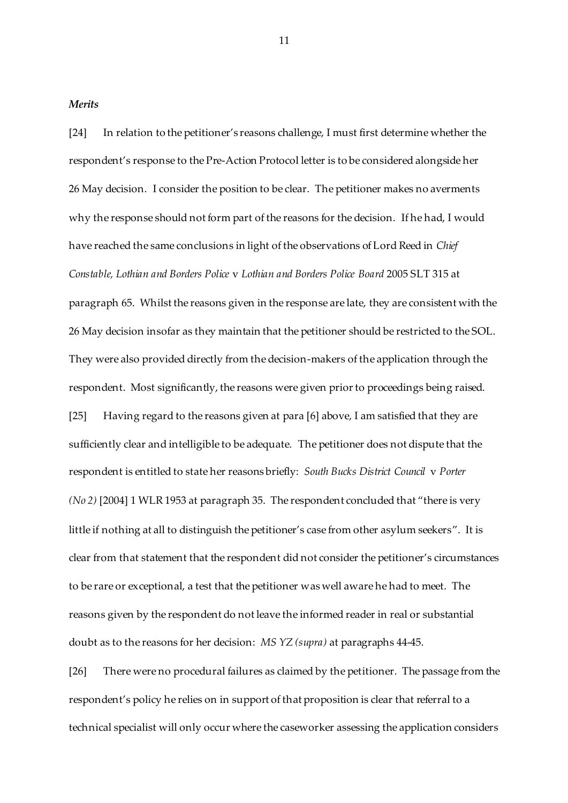*Merits*

[24] In relation to the petitioner's reasons challenge, I must first determine whether the respondent's response to the Pre-Action Protocol letter is to be considered alongside her 26 May decision. I consider the position to be clear. The petitioner makes no averments why the response should not form part of the reasons for the decision. If he had, I would have reached the same conclusions in light of the observations of Lord Reed in *Chief Constable, Lothian and Borders Police* v *Lothian and Borders Police Board* 2005 SLT 315 at paragraph 65. Whilst the reasons given in the response are late, they are consistent with the 26 May decision insofar as they maintain that the petitioner should be restricted to the SOL. They were also provided directly from the decision-makers of the application through the respondent. Most significantly, the reasons were given prior to proceedings being raised. [25] Having regard to the reasons given at para [6] above, I am satisfied that they are sufficiently clear and intelligible to be adequate. The petitioner does not dispute that the respondent is entitled to state her reasons briefly: *South Bucks District Council* v *Porter (No 2)* [2004] 1 WLR 1953 at paragraph 35. The respondent concluded that "there is very little if nothing at all to distinguish the petitioner's case from other asylum seekers". It is clear from that statement that the respondent did not consider the petitioner's circumstances to be rare or exceptional, a test that the petitioner was well aware he had to meet. The reasons given by the respondent do not leave the informed reader in real or substantial doubt as to the reasons for her decision: *MS YZ (supra)* at paragraphs 44-45.

[26] There were no procedural failures as claimed by the petitioner. The passage from the respondent's policy he relies on in support of that proposition is clear that referral to a technical specialist will only occur where the caseworker assessing the application considers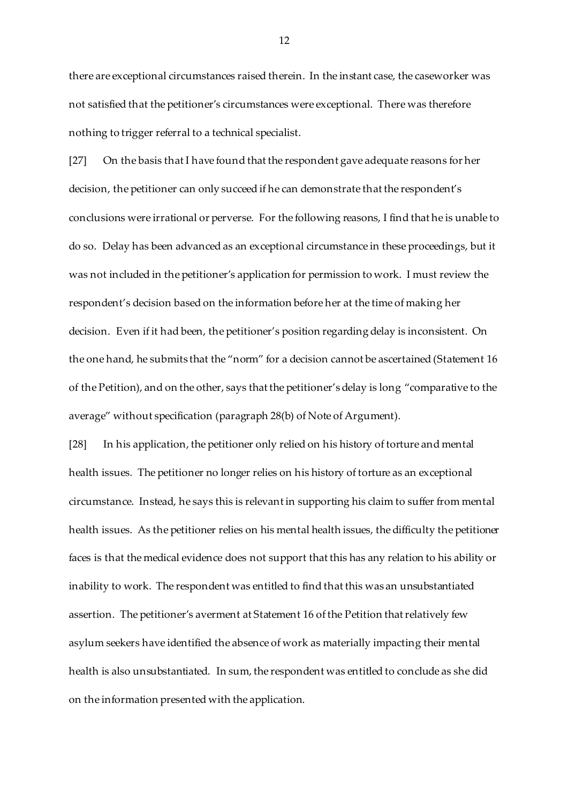there are exceptional circumstances raised therein. In the instant case, the caseworker was not satisfied that the petitioner's circumstances were exceptional. There was therefore nothing to trigger referral to a technical specialist.

[27] On the basis that I have found that the respondent gave adequate reasons for her decision, the petitioner can only succeed if he can demonstrate that the respondent's conclusions were irrational or perverse. For the following reasons, I find that he is unable to do so. Delay has been advanced as an exceptional circumstance in these proceedings, but it was not included in the petitioner's application for permission to work. I must review the respondent's decision based on the information before her at the time of making her decision. Even if it had been, the petitioner's position regarding delay is inconsistent. On the one hand, he submits that the "norm" for a decision cannot be ascertained (Statement 16 of the Petition), and on the other, says that the petitioner's delay is long "comparative to the average" without specification (paragraph 28(b) of Note of Argument).

[28] In his application, the petitioner only relied on his history of torture and mental health issues. The petitioner no longer relies on his history of torture as an exceptional circumstance. Instead, he says this is relevant in supporting his claim to suffer from mental health issues. As the petitioner relies on his mental health issues, the difficulty the petitioner faces is that the medical evidence does not support that this has any relation to his ability or inability to work. The respondent was entitled to find that this was an unsubstantiated assertion. The petitioner's averment at Statement 16 of the Petition that relatively few asylum seekers have identified the absence of work as materially impacting their mental health is also unsubstantiated. In sum, the respondent was entitled to conclude as she did on the information presented with the application.